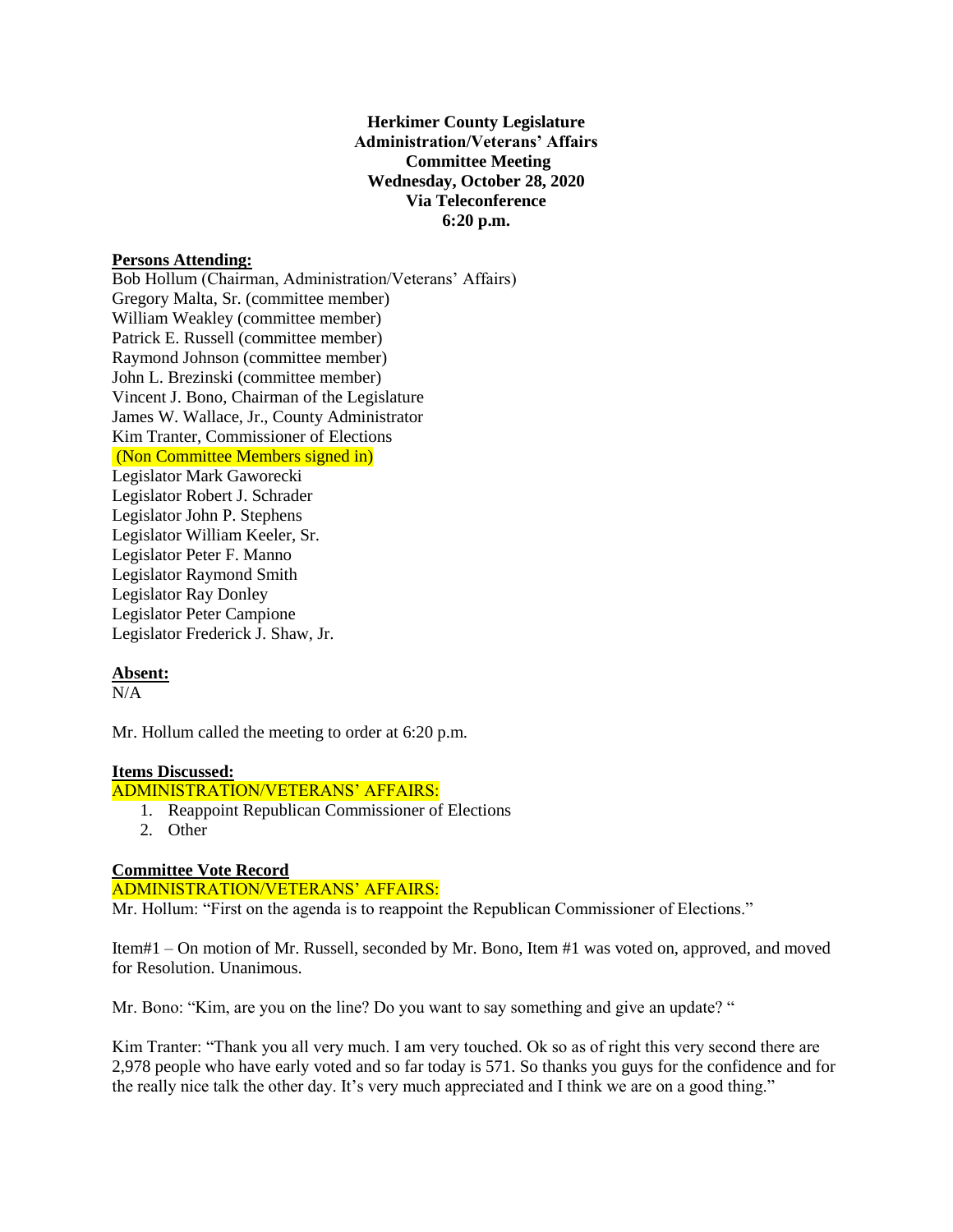**Herkimer County Legislature Administration/Veterans' Affairs Committee Meeting Wednesday, October 28, 2020 Via Teleconference 6:20 p.m.**

#### **Persons Attending:**

Bob Hollum (Chairman, Administration/Veterans' Affairs) Gregory Malta, Sr. (committee member) William Weakley (committee member) Patrick E. Russell (committee member) Raymond Johnson (committee member) John L. Brezinski (committee member) Vincent J. Bono, Chairman of the Legislature James W. Wallace, Jr., County Administrator Kim Tranter, Commissioner of Elections (Non Committee Members signed in) Legislator Mark Gaworecki Legislator Robert J. Schrader Legislator John P. Stephens Legislator William Keeler, Sr. Legislator Peter F. Manno Legislator Raymond Smith Legislator Ray Donley Legislator Peter Campione

# **Absent:**

 $N/A$ 

Mr. Hollum called the meeting to order at 6:20 p.m.

# **Items Discussed:**

### ADMINISTRATION/VETERANS' AFFAIRS:

- 1. Reappoint Republican Commissioner of Elections
- 2. Other

## **Committee Vote Record**

Legislator Frederick J. Shaw, Jr.

ADMINISTRATION/VETERANS' AFFAIRS: Mr. Hollum: "First on the agenda is to reappoint the Republican Commissioner of Elections."

Item#1 – On motion of Mr. Russell, seconded by Mr. Bono, Item #1 was voted on, approved, and moved for Resolution. Unanimous.

Mr. Bono: "Kim, are you on the line? Do you want to say something and give an update? "

Kim Tranter: "Thank you all very much. I am very touched. Ok so as of right this very second there are 2,978 people who have early voted and so far today is 571. So thanks you guys for the confidence and for the really nice talk the other day. It's very much appreciated and I think we are on a good thing."